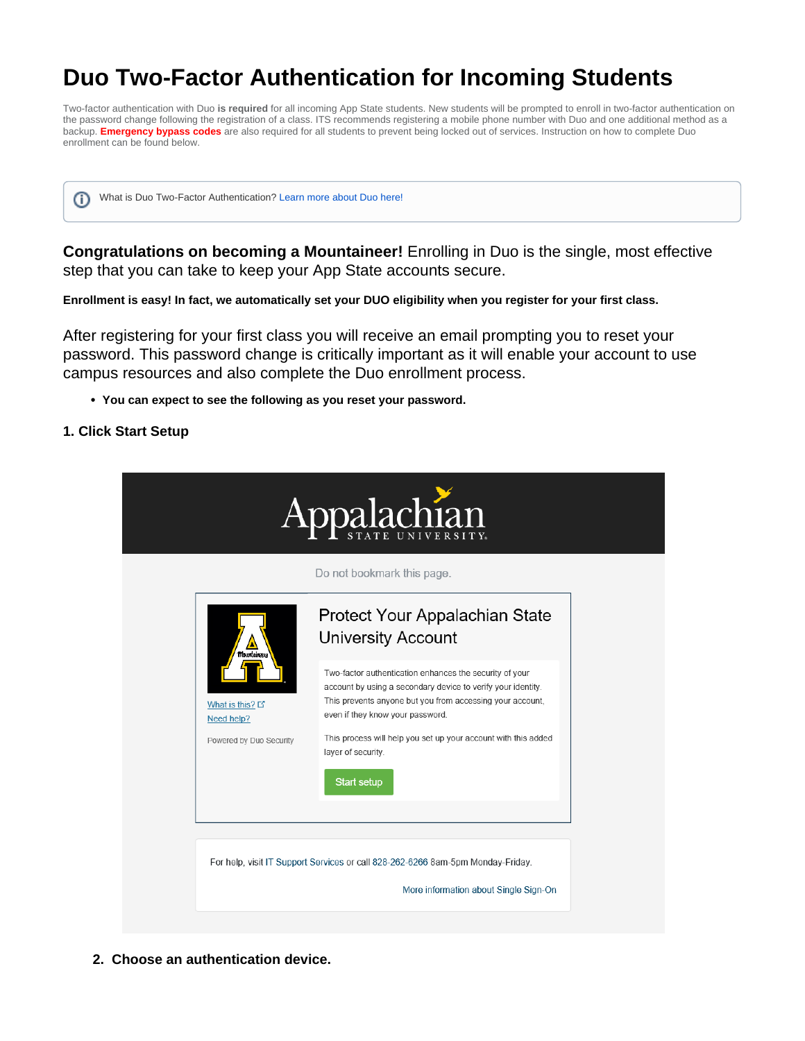# **Duo Two-Factor Authentication for Incoming Students**

Two-factor authentication with Duo **is required** for all incoming App State students. New students will be prompted to enroll in two-factor authentication on the password change following the registration of a class. ITS recommends registering a mobile phone number with Duo and one additional method as a backup. **Emergency bypass codes** are also required for all students to prevent being locked out of services. Instruction on how to complete Duo enrollment can be found below.

ത

What is Duo Two-Factor Authentication? [Learn more about Duo here!](https://confluence.appstate.edu/x/T7x4Ag)

**Congratulations on becoming a Mountaineer!** Enrolling in Duo is the single, most effective step that you can take to keep your App State accounts secure.

**Enrollment is easy! In fact, we automatically set your DUO eligibility when you register for your first class.** 

After registering for your first class you will receive an email prompting you to reset your password. This password change is critically important as it will enable your account to use campus resources and also complete the Duo enrollment process.

**You can expect to see the following as you reset your password.** 

## **1. Click Start Setup**

|                               | Do not bookmark this page.                                                                                                                                                                                               |
|-------------------------------|--------------------------------------------------------------------------------------------------------------------------------------------------------------------------------------------------------------------------|
| <b>Mourdainee</b>             | Protect Your Appalachian State<br><b>University Account</b>                                                                                                                                                              |
| What is this? D<br>Need help? | Two-factor authentication enhances the security of your<br>account by using a secondary device to verify your identity.<br>This prevents anyone but you from accessing your account,<br>even if they know your password. |
| Powered by Duo Security       | This process will help you set up your account with this added<br>layer of security.<br><b>Start setup</b>                                                                                                               |
|                               |                                                                                                                                                                                                                          |

**2. Choose an authentication device.**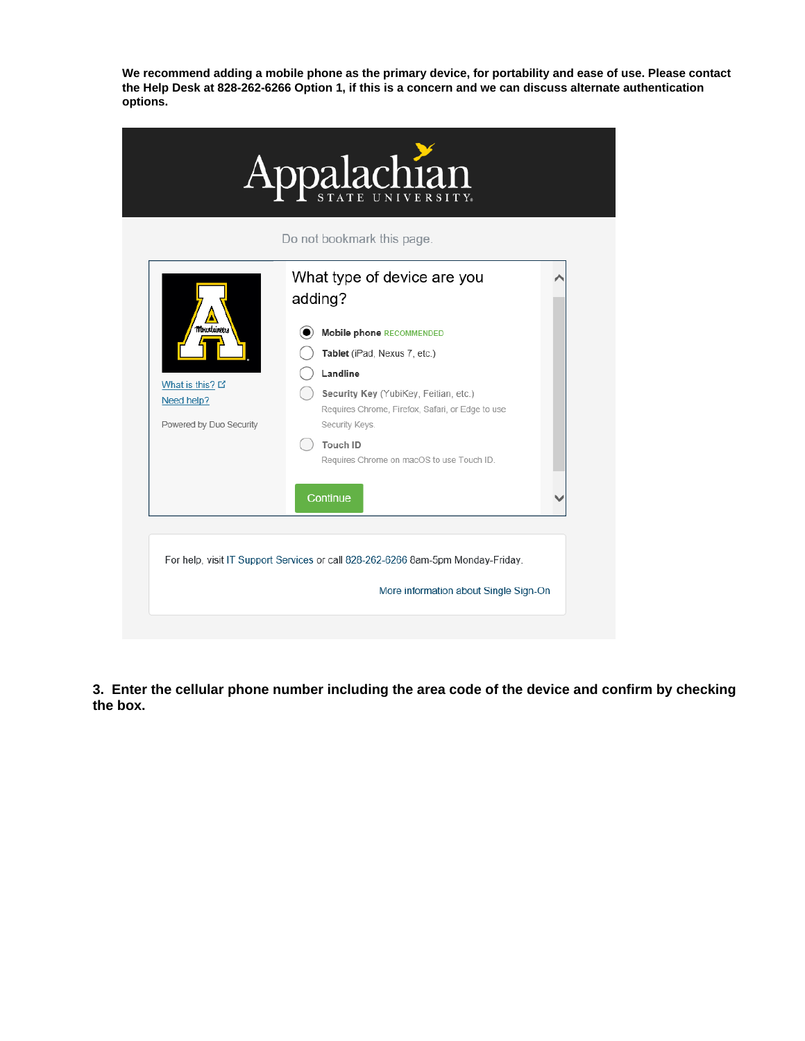**We recommend adding a mobile phone as the primary device, for portability and ease of use. Please contact the Help Desk at 828-262-6266 Option 1, if this is a concern and we can discuss alternate authentication options.** 

|                         | Do not bookmark this page.                                                                |  |
|-------------------------|-------------------------------------------------------------------------------------------|--|
|                         | What type of device are you<br>adding?                                                    |  |
|                         |                                                                                           |  |
| <b>Mourtainees</b>      | Mobile phone RECOMMENDED                                                                  |  |
|                         | Tablet (iPad, Nexus 7, etc.)                                                              |  |
| What is this? D         | Landline                                                                                  |  |
| Need help?              | Security Key (YubiKey, Feitian, etc.)<br>Requires Chrome, Firefox, Safari, or Edge to use |  |
| Powered by Duo Security | Security Keys.                                                                            |  |
|                         | Touch ID                                                                                  |  |
|                         | Requires Chrome on macOS to use Touch ID.                                                 |  |
|                         | Continue                                                                                  |  |
|                         |                                                                                           |  |

**3. Enter the cellular phone number including the area code of the device and confirm by checking the box.**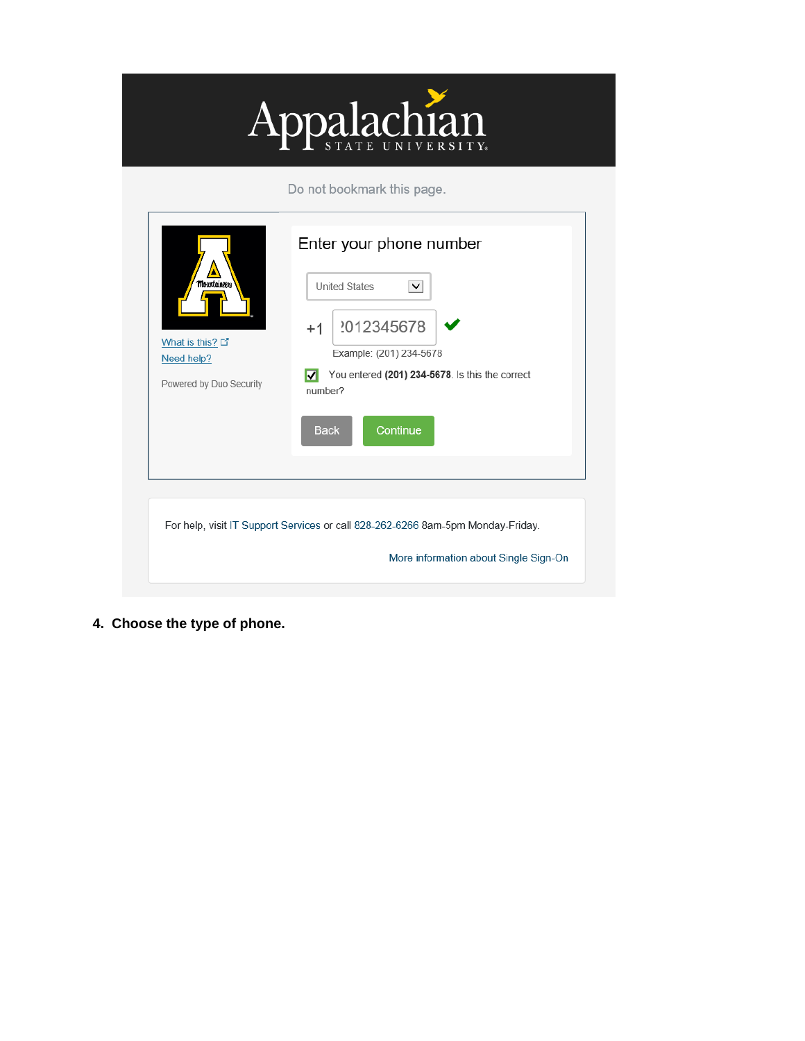

| <b>Mourtainee</b><br>What is this? L'<br>Need help?<br>Powered by Duo Security | Enter your phone number<br><b>United States</b><br>$\check{ }$<br>2012345678<br>$+1$<br>Example: (201) 234-5678<br>You entered (201) 234-5678. Is this the correct<br>M<br>number?<br><b>Back</b><br>Continue |
|--------------------------------------------------------------------------------|---------------------------------------------------------------------------------------------------------------------------------------------------------------------------------------------------------------|
|                                                                                | For help, visit IT Support Services or call 828-262-6266 8am-5pm Monday-Friday.<br>More information about Single Sign-On                                                                                      |

**4. Choose the type of phone.**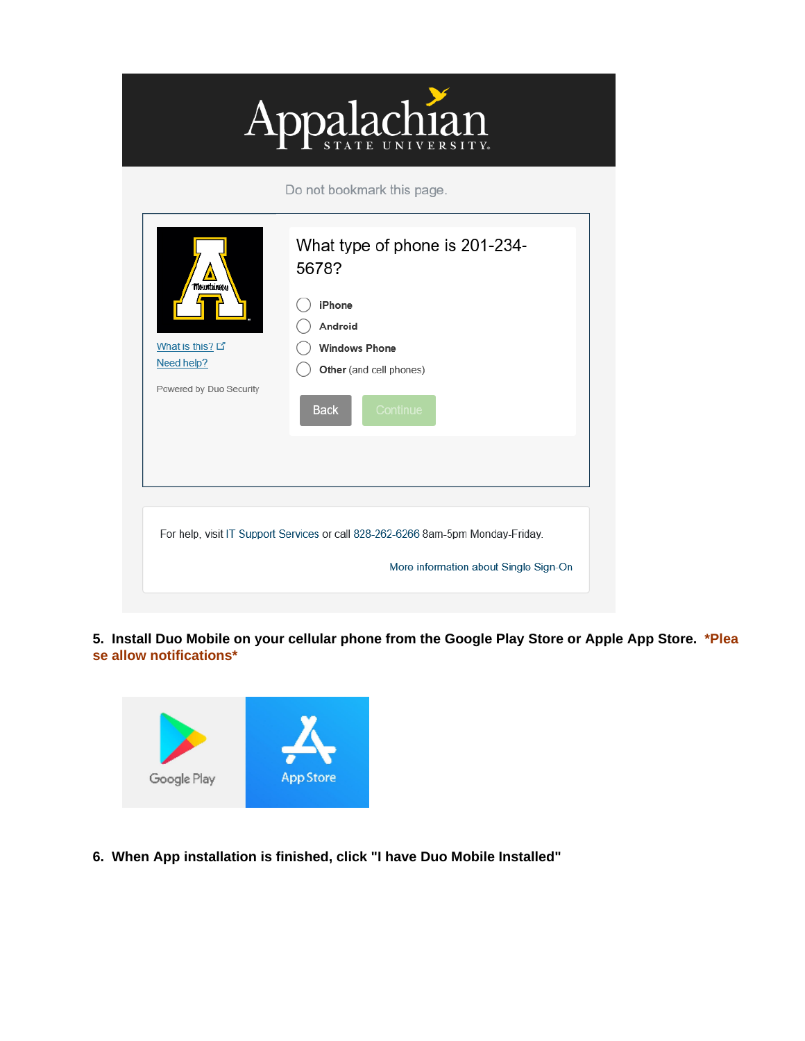

| <b>Mountaineess</b>                                      | What type of phone is 201-234-<br>5678?                                                                                  |
|----------------------------------------------------------|--------------------------------------------------------------------------------------------------------------------------|
| What is this? D<br>Need help?<br>Powered by Duo Security | iPhone<br>Android<br><b>Windows Phone</b><br>Other (and cell phones)<br><b>Back</b><br>Continue                          |
|                                                          | For help, visit IT Support Services or call 828-262-6266 8am-5pm Monday-Friday.<br>More information about Single Sign-On |

**5. Install Duo Mobile on your cellular phone from the Google Play Store or Apple App Store. \*Plea se allow notifications\***



**6. When App installation is finished, click "I have Duo Mobile Installed"**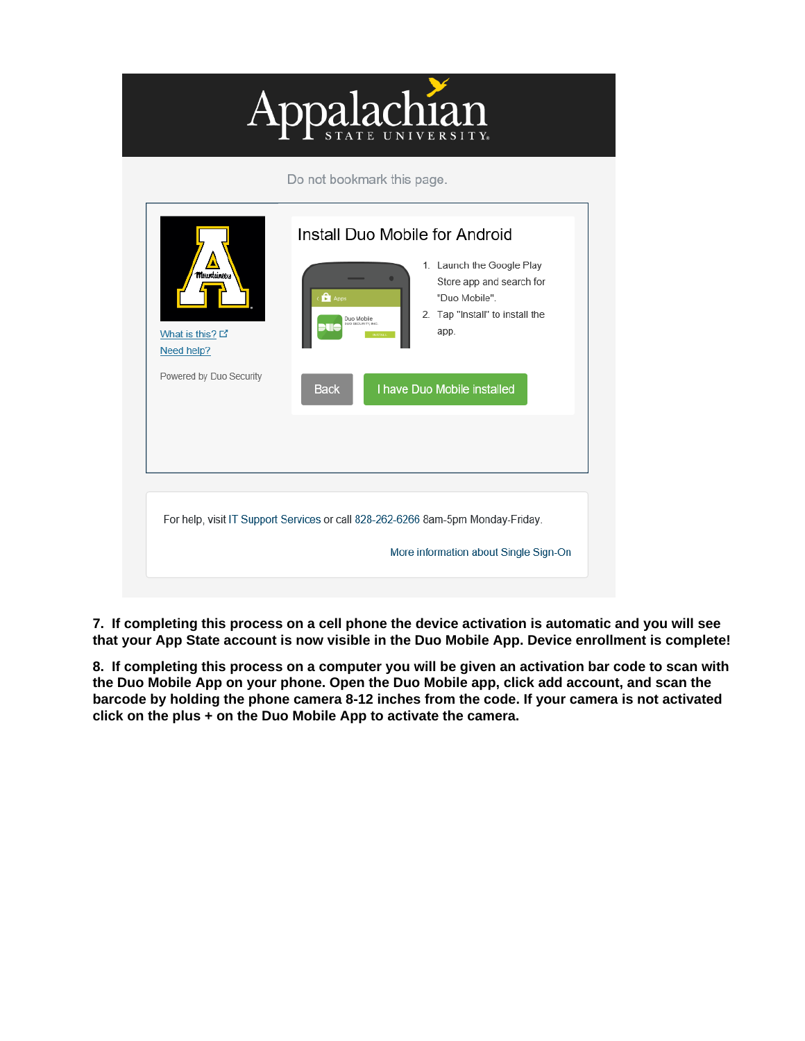

For help, visit IT Support Services or call 828-262-6266 8am-5pm Monday-Friday.

**7. If completing this process on a cell phone the device activation is automatic and you will see that your App State account is now visible in the Duo Mobile App. Device enrollment is complete!** 

More information about Single Sign-On

**8. If completing this process on a computer you will be given an activation bar code to scan with the Duo Mobile App on your phone. Open the Duo Mobile app, click add account, and scan the barcode by holding the phone camera 8-12 inches from the code. If your camera is not activated click on the plus + on the Duo Mobile App to activate the camera.**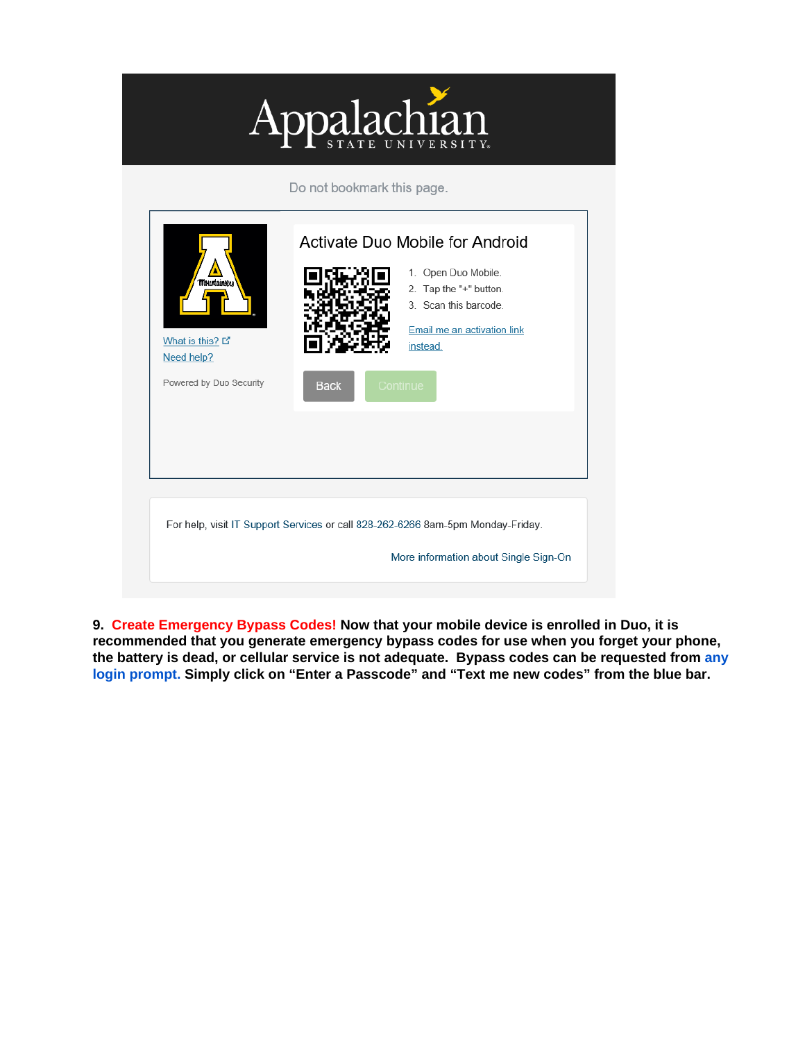

| <b>Mountaineess</b><br>What is this? L'<br>Need help?<br>Powered by Duo Security                                         | <b>Back</b> | Activate Duo Mobile for Android<br>1. Open Duo Mobile.<br>2. Tap the "+" button.<br>3. Scan this barcode.<br>Email me an activation link<br>instead.<br>Continue |  |  |  |
|--------------------------------------------------------------------------------------------------------------------------|-------------|------------------------------------------------------------------------------------------------------------------------------------------------------------------|--|--|--|
| For help, visit IT Support Services or call 828-262-6266 8am-5pm Monday-Friday.<br>More information about Single Sign-On |             |                                                                                                                                                                  |  |  |  |

**9. Create Emergency Bypass Codes! Now that your mobile device is enrolled in Duo, it is recommended that you generate emergency bypass codes for use when you forget your phone, the battery is dead, or cellular service is not adequate. Bypass codes can be requested from [any](https://ovzve25-77.appstate.edu/)  [login prompt.](https://ovzve25-77.appstate.edu/) Simply click on "Enter a Passcode" and "Text me new codes" from the blue bar.**